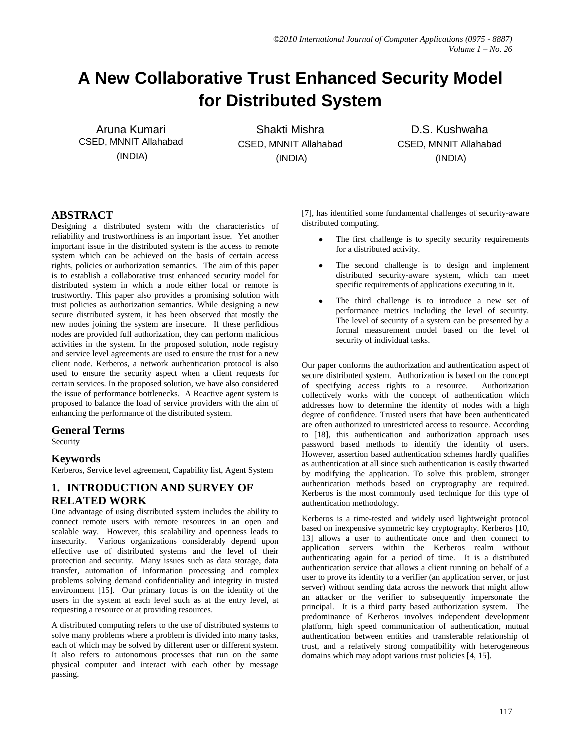# **A New Collaborative Trust Enhanced Security Model for Distributed System**

Aruna Kumari CSED, MNNIT Allahabad (INDIA)

Shakti Mishra CSED, MNNIT Allahabad (INDIA)

D.S. Kushwaha CSED, MNNIT Allahabad (INDIA)

## **ABSTRACT**

Designing a distributed system with the characteristics of reliability and trustworthiness is an important issue. Yet another important issue in the distributed system is the access to remote system which can be achieved on the basis of certain access rights, policies or authorization semantics. The aim of this paper is to establish a collaborative trust enhanced security model for distributed system in which a node either local or remote is trustworthy. This paper also provides a promising solution with trust policies as authorization semantics. While designing a new secure distributed system, it has been observed that mostly the new nodes joining the system are insecure. If these perfidious nodes are provided full authorization, they can perform malicious activities in the system. In the proposed solution, node registry and service level agreements are used to ensure the trust for a new client node. Kerberos, a network authentication protocol is also used to ensure the security aspect when a client requests for certain services. In the proposed solution, we have also considered the issue of performance bottlenecks. A Reactive agent system is proposed to balance the load of service providers with the aim of enhancing the performance of the distributed system.

## **General Terms**

Security

#### **Keywords**

Kerberos, Service level agreement, Capability list, Agent System

## **1. INTRODUCTION AND SURVEY OF RELATED WORK**

One advantage of using distributed system includes the ability to connect remote users with remote resources in an open and scalable way. However, this scalability and openness leads to insecurity. Various organizations considerably depend upon effective use of distributed systems and the level of their protection and security. Many issues such as data storage, data transfer, automation of information processing and complex problems solving demand confidentiality and integrity in trusted environment [15]. Our primary focus is on the identity of the users in the system at each level such as at the entry level, at requesting a resource or at providing resources.

A distributed computing refers to the use of distributed systems to solve many problems where a problem is divided into many tasks, each of which may be solved by different user or different system. It also refers to autonomous processes that run on the same physical computer and interact with each other by message passing.

[7], has identified some fundamental challenges of security-aware distributed computing.

- The first challenge is to specify security requirements for a distributed activity.
- The second challenge is to design and implement distributed security-aware system, which can meet specific requirements of applications executing in it.
- The third challenge is to introduce a new set of performance metrics including the level of security. The level of security of a system can be presented by a formal measurement model based on the level of security of individual tasks.

Our paper conforms the authorization and authentication aspect of secure distributed system. Authorization is based on the concept of specifying access rights to a resource. Authorization collectively works with the concept of authentication which addresses how to determine the identity of nodes with a high degree of confidence. Trusted users that have been authenticated are often authorized to unrestricted access to resource. According to [18], this authentication and authorization approach uses password based methods to identify the identity of users. However, assertion based authentication schemes hardly qualifies as authentication at all since such authentication is easily thwarted by modifying the application. To solve this problem, stronger authentication methods based on cryptography are required. Kerberos is the most commonly used technique for this type of authentication methodology.

Kerberos is a time-tested and widely used lightweight protocol based on inexpensive symmetric key cryptography. Kerberos [10, 13] allows a user to authenticate once and then connect to application servers within the Kerberos realm without authenticating again for a period of time. It is a distributed authentication service that allows a client running on behalf of a user to prove its identity to a verifier (an application server, or just server) without sending data across the network that might allow an attacker or the verifier to subsequently impersonate the principal. It is a third party based authorization system. The predominance of Kerberos involves independent development platform, high speed communication of authentication, mutual authentication between entities and transferable relationship of trust, and a relatively strong compatibility with heterogeneous domains which may adopt various trust policies [4, 15].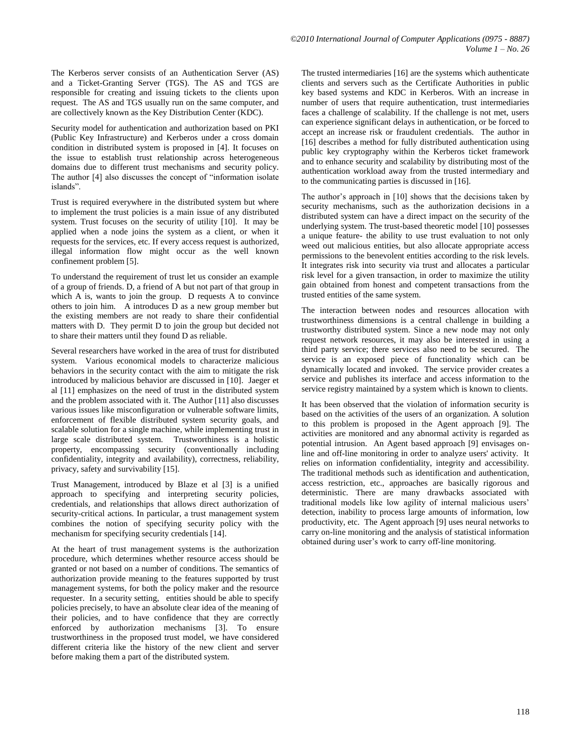The Kerberos server consists of an Authentication Server (AS) and a Ticket-Granting Server (TGS). The AS and TGS are responsible for creating and issuing tickets to the clients upon request. The AS and TGS usually run on the same computer, and are collectively known as the Key Distribution Center (KDC).

Security model for authentication and authorization based on PKI (Public Key Infrastructure) and Kerberos under a cross domain condition in distributed system is proposed in [4]. It focuses on the issue to establish trust relationship across heterogeneous domains due to different trust mechanisms and security policy. The author [4] also discusses the concept of "information isolate islands".

Trust is required everywhere in the distributed system but where to implement the trust policies is a main issue of any distributed system. Trust focuses on the security of utility [10]. It may be applied when a node joins the system as a client, or when it requests for the services, etc. If every access request is authorized, illegal information flow might occur as the well known confinement problem [5].

To understand the requirement of trust let us consider an example of a group of friends. D, a friend of A but not part of that group in which A is, wants to join the group. D requests A to convince others to join him. A introduces D as a new group member but the existing members are not ready to share their confidential matters with D. They permit D to join the group but decided not to share their matters until they found D as reliable.

Several researchers have worked in the area of trust for distributed system. Various economical models to characterize malicious behaviors in the security contact with the aim to mitigate the risk introduced by malicious behavior are discussed in [10]. Jaeger et al [11] emphasizes on the need of trust in the distributed system and the problem associated with it. The Author [11] also discusses various issues like misconfiguration or vulnerable software limits, enforcement of flexible distributed system security goals, and scalable solution for a single machine, while implementing trust in large scale distributed system. Trustworthiness is a holistic property, encompassing security (conventionally including confidentiality, integrity and availability), correctness, reliability, privacy, safety and survivability [15].

Trust Management, introduced by Blaze et al [3] is a unified approach to specifying and interpreting security policies, credentials, and relationships that allows direct authorization of security-critical actions. In particular, a trust management system combines the notion of specifying security policy with the mechanism for specifying security credentials [14].

At the heart of trust management systems is the authorization procedure, which determines whether resource access should be granted or not based on a number of conditions. The semantics of authorization provide meaning to the features supported by trust management systems, for both the policy maker and the resource requester. In a security setting, entities should be able to specify policies precisely, to have an absolute clear idea of the meaning of their policies, and to have confidence that they are correctly enforced by authorization mechanisms [3]. To ensure trustworthiness in the proposed trust model, we have considered different criteria like the history of the new client and server before making them a part of the distributed system.

The trusted intermediaries [16] are the systems which authenticate clients and servers such as the Certificate Authorities in public key based systems and KDC in Kerberos. With an increase in number of users that require authentication, trust intermediaries faces a challenge of scalability. If the challenge is not met, users can experience significant delays in authentication, or be forced to accept an increase risk or fraudulent credentials. The author in [16] describes a method for fully distributed authentication using public key cryptography within the Kerberos ticket framework and to enhance security and scalability by distributing most of the authentication workload away from the trusted intermediary and to the communicating parties is discussed in [16].

The author's approach in [10] shows that the decisions taken by security mechanisms, such as the authorization decisions in a distributed system can have a direct impact on the security of the underlying system. The trust-based theoretic model [10] possesses a unique feature- the ability to use trust evaluation to not only weed out malicious entities, but also allocate appropriate access permissions to the benevolent entities according to the risk levels. It integrates risk into security via trust and allocates a particular risk level for a given transaction, in order to maximize the utility gain obtained from honest and competent transactions from the trusted entities of the same system.

The interaction between nodes and resources allocation with trustworthiness dimensions is a central challenge in building a trustworthy distributed system. Since a new node may not only request network resources, it may also be interested in using a third party service; there services also need to be secured. The service is an exposed piece of functionality which can be dynamically located and invoked. The service provider creates a service and publishes its interface and access information to the service registry maintained by a system which is known to clients.

It has been observed that the violation of information security is based on the activities of the users of an organization. A solution to this problem is proposed in the Agent approach [9]. The activities are monitored and any abnormal activity is regarded as potential intrusion. An Agent based approach [9] envisages online and off-line monitoring in order to analyze users' activity. It relies on information confidentiality, integrity and accessibility. The traditional methods such as identification and authentication, access restriction, etc., approaches are basically rigorous and deterministic. There are many drawbacks associated with traditional models like low agility of internal malicious users' detection, inability to process large amounts of information, low productivity, etc. The Agent approach [9] uses neural networks to carry on-line monitoring and the analysis of statistical information obtained during user's work to carry off-line monitoring.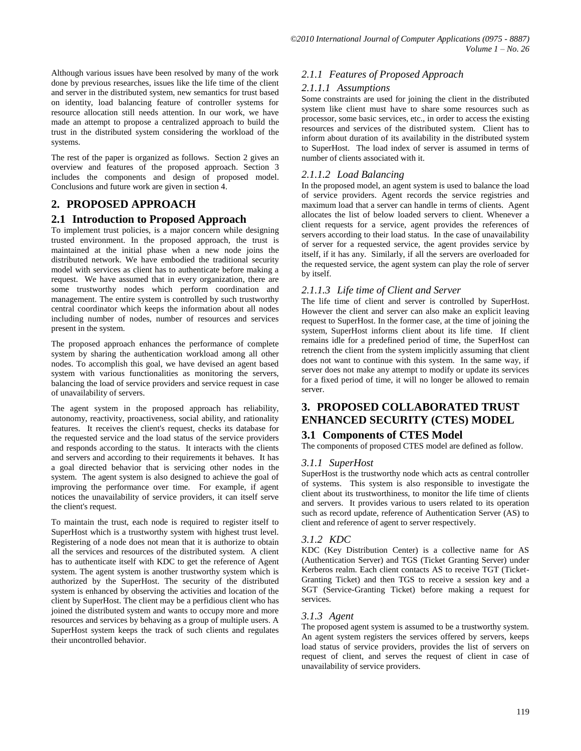Although various issues have been resolved by many of the work done by previous researches, issues like the life time of the client and server in the distributed system, new semantics for trust based on identity, load balancing feature of controller systems for resource allocation still needs attention. In our work, we have made an attempt to propose a centralized approach to build the trust in the distributed system considering the workload of the systems.

The rest of the paper is organized as follows. Section 2 gives an overview and features of the proposed approach. Section 3 includes the components and design of proposed model. Conclusions and future work are given in section 4.

# **2. PROPOSED APPROACH**

## **2.1 Introduction to Proposed Approach**

To implement trust policies, is a major concern while designing trusted environment. In the proposed approach, the trust is maintained at the initial phase when a new node joins the distributed network. We have embodied the traditional security model with services as client has to authenticate before making a request. We have assumed that in every organization, there are some trustworthy nodes which perform coordination and management. The entire system is controlled by such trustworthy central coordinator which keeps the information about all nodes including number of nodes, number of resources and services present in the system.

The proposed approach enhances the performance of complete system by sharing the authentication workload among all other nodes. To accomplish this goal, we have devised an agent based system with various functionalities as monitoring the servers, balancing the load of service providers and service request in case of unavailability of servers.

The agent system in the proposed approach has reliability, autonomy, reactivity, proactiveness, social ability, and rationality features. It receives the client's request, checks its database for the requested service and the load status of the service providers and responds according to the status. It interacts with the clients and servers and according to their requirements it behaves. It has a goal directed behavior that is servicing other nodes in the system. The agent system is also designed to achieve the goal of improving the performance over time. For example, if agent notices the unavailability of service providers, it can itself serve the client's request.

To maintain the trust, each node is required to register itself to SuperHost which is a trustworthy system with highest trust level. Registering of a node does not mean that it is authorize to obtain all the services and resources of the distributed system. A client has to authenticate itself with KDC to get the reference of Agent system. The agent system is another trustworthy system which is authorized by the SuperHost. The security of the distributed system is enhanced by observing the activities and location of the client by SuperHost. The client may be a perfidious client who has joined the distributed system and wants to occupy more and more resources and services by behaving as a group of multiple users. A SuperHost system keeps the track of such clients and regulates their uncontrolled behavior.

#### *2.1.1 Features of Proposed Approach*

#### *2.1.1.1 Assumptions*

Some constraints are used for joining the client in the distributed system like client must have to share some resources such as processor, some basic services, etc., in order to access the existing resources and services of the distributed system. Client has to inform about duration of its availability in the distributed system to SuperHost. The load index of server is assumed in terms of number of clients associated with it.

## *2.1.1.2 Load Balancing*

In the proposed model, an agent system is used to balance the load of service providers. Agent records the service registries and maximum load that a server can handle in terms of clients. Agent allocates the list of below loaded servers to client. Whenever a client requests for a service, agent provides the references of servers according to their load status. In the case of unavailability of server for a requested service, the agent provides service by itself, if it has any. Similarly, if all the servers are overloaded for the requested service, the agent system can play the role of server by itself.

## *2.1.1.3 Life time of Client and Server*

The life time of client and server is controlled by SuperHost. However the client and server can also make an explicit leaving request to SuperHost. In the former case, at the time of joining the system, SuperHost informs client about its life time. If client remains idle for a predefined period of time, the SuperHost can retrench the client from the system implicitly assuming that client does not want to continue with this system. In the same way, if server does not make any attempt to modify or update its services for a fixed period of time, it will no longer be allowed to remain server.

# **3. PROPOSED COLLABORATED TRUST ENHANCED SECURITY (CTES) MODEL**

# **3.1 Components of CTES Model**

The components of proposed CTES model are defined as follow.

#### *3.1.1 SuperHost*

SuperHost is the trustworthy node which acts as central controller of systems. This system is also responsible to investigate the client about its trustworthiness, to monitor the life time of clients and servers. It provides various to users related to its operation such as record update, reference of Authentication Server (AS) to client and reference of agent to server respectively.

#### *3.1.2 KDC*

KDC (Key Distribution Center) is a collective name for AS (Authentication Server) and TGS (Ticket Granting Server) under Kerberos realm. Each client contacts AS to receive TGT (Ticket-Granting Ticket) and then TGS to receive a session key and a SGT (Service-Granting Ticket) before making a request for services.

#### *3.1.3 Agent*

The proposed agent system is assumed to be a trustworthy system. An agent system registers the services offered by servers, keeps load status of service providers, provides the list of servers on request of client, and serves the request of client in case of unavailability of service providers.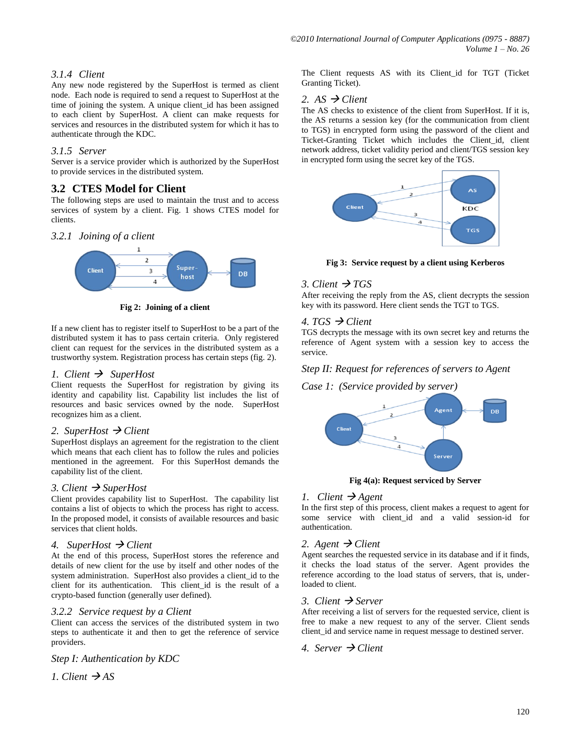## *3.1.4 Client*

Any new node registered by the SuperHost is termed as client node. Each node is required to send a request to SuperHost at the time of joining the system. A unique client\_id has been assigned to each client by SuperHost. A client can make requests for services and resources in the distributed system for which it has to authenticate through the KDC.

#### *3.1.5 Server*

Server is a service provider which is authorized by the SuperHost to provide services in the distributed system.

## **3.2 CTES Model for Client**

The following steps are used to maintain the trust and to access services of system by a client. Fig. 1 shows CTES model for clients.

*3.2.1 Joining of a client*



**Fig 2: Joining of a client**

If a new client has to register itself to SuperHost to be a part of the distributed system it has to pass certain criteria. Only registered client can request for the services in the distributed system as a trustworthy system. Registration process has certain steps (fig. 2).

#### *1. Client*  $\rightarrow$  *SuperHost*

Client requests the SuperHost for registration by giving its identity and capability list. Capability list includes the list of resources and basic services owned by the node. SuperHost recognizes him as a client.

#### *2. SuperHost Client*

SuperHost displays an agreement for the registration to the client which means that each client has to follow the rules and policies mentioned in the agreement. For this SuperHost demands the capability list of the client.

#### *3. Client SuperHost*

Client provides capability list to SuperHost. The capability list contains a list of objects to which the process has right to access. In the proposed model, it consists of available resources and basic services that client holds.

#### *4. SuperHost Client*

At the end of this process, SuperHost stores the reference and details of new client for the use by itself and other nodes of the system administration. SuperHost also provides a client id to the client for its authentication. This client\_id is the result of a crypto-based function (generally user defined).

#### *3.2.2 Service request by a Client*

Client can access the services of the distributed system in two steps to authenticate it and then to get the reference of service providers.

*Step I: Authentication by KDC*

*1. Client*  $\rightarrow$  AS

The Client requests AS with its Client\_id for TGT (Ticket Granting Ticket).

#### 2.  $AS \rightarrow Client$

The AS checks to existence of the client from SuperHost. If it is, the AS returns a session key (for the communication from client to TGS) in encrypted form using the password of the client and Ticket-Granting Ticket which includes the Client\_id, client network address, ticket validity period and client/TGS session key in encrypted form using the secret key of the TGS.



**Fig 3: Service request by a client using Kerberos**

## 3. Client  $\rightarrow$  TGS

After receiving the reply from the AS, client decrypts the session key with its password. Here client sends the TGT to TGS.

#### 4. TGS  $\rightarrow$  Client

TGS decrypts the message with its own secret key and returns the reference of Agent system with a session key to access the service.

## *Step II: Request for references of servers to Agent*

#### *Case 1: (Service provided by server)*



**Fig 4(a): Request serviced by Server**

#### *1. Client Agent*

In the first step of this process, client makes a request to agent for some service with client\_id and a valid session-id for authentication.

#### 2. Agent  $\rightarrow$  Client

Agent searches the requested service in its database and if it finds, it checks the load status of the server. Agent provides the reference according to the load status of servers, that is, underloaded to client.

#### *3. Client Server*

After receiving a list of servers for the requested service, client is free to make a new request to any of the server. Client sends client\_id and service name in request message to destined server.

## 4. Server  $\rightarrow$  Client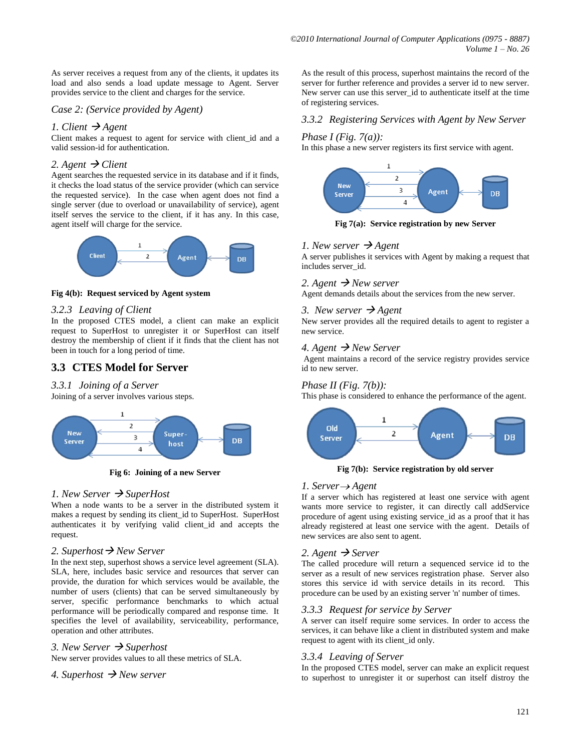As server receives a request from any of the clients, it updates its load and also sends a load update message to Agent. Server provides service to the client and charges for the service.

#### *Case 2: (Service provided by Agent)*

#### *1. Client*  $\rightarrow$  *Agent*

Client makes a request to agent for service with client\_id and a valid session-id for authentication.

#### 2. Agent  $\rightarrow$  Client

Agent searches the requested service in its database and if it finds, it checks the load status of the service provider (which can service the requested service). In the case when agent does not find a single server (due to overload or unavailability of service), agent itself serves the service to the client, if it has any. In this case, agent itself will charge for the service.



#### **Fig 4(b): Request serviced by Agent system**

#### *3.2.3 Leaving of Client*

In the proposed CTES model, a client can make an explicit request to SuperHost to unregister it or SuperHost can itself destroy the membership of client if it finds that the client has not been in touch for a long period of time.

# **3.3 CTES Model for Server**

#### *3.3.1 Joining of a Server*

Joining of a server involves various steps.



**Fig 6: Joining of a new Server**

#### *1. New Server SuperHost*

When a node wants to be a server in the distributed system it makes a request by sending its client\_id to SuperHost. SuperHost authenticates it by verifying valid client\_id and accepts the request.

#### *2. Superhost New Server*

In the next step, superhost shows a service level agreement (SLA). SLA, here, includes basic service and resources that server can provide, the duration for which services would be available, the number of users (clients) that can be served simultaneously by server, specific performance benchmarks to which actual performance will be periodically compared and response time. It specifies the level of availability, serviceability, performance, operation and other attributes.

*3. New Server Superhost*

New server provides values to all these metrics of SLA.

#### 4. Superhost  $\rightarrow$  *New server*

As the result of this process, superhost maintains the record of the server for further reference and provides a server id to new server. New server can use this server id to authenticate itself at the time of registering services.

#### *3.3.2 Registering Services with Agent by New Server*

#### *Phase I (Fig. 7(a)):*

In this phase a new server registers its first service with agent.



**Fig 7(a): Service registration by new Server**

#### *1. New server*  $\rightarrow$  *Agent*

A server publishes it services with Agent by making a request that includes server\_id.

## 2. Agent  $\rightarrow$  *New server*

Agent demands details about the services from the new server.

#### 3. New server  $\rightarrow$  Agent

New server provides all the required details to agent to register a new service.

#### *4. Agent New Server*

Agent maintains a record of the service registry provides service id to new server.

#### *Phase II (Fig. 7(b)):*

This phase is considered to enhance the performance of the agent.



**Fig 7(b): Service registration by old server**

#### *1. Server Agent*

If a server which has registered at least one service with agent wants more service to register, it can directly call addService procedure of agent using existing service\_id as a proof that it has already registered at least one service with the agent. Details of new services are also sent to agent.

#### 2. Agent  $\rightarrow$  Server

The called procedure will return a sequenced service id to the server as a result of new services registration phase. Server also stores this service id with service details in its record. This procedure can be used by an existing server 'n' number of times.

#### *3.3.3 Request for service by Server*

A server can itself require some services. In order to access the services, it can behave like a client in distributed system and make request to agent with its client\_id only.

#### *3.3.4 Leaving of Server*

In the proposed CTES model, server can make an explicit request to superhost to unregister it or superhost can itself distroy the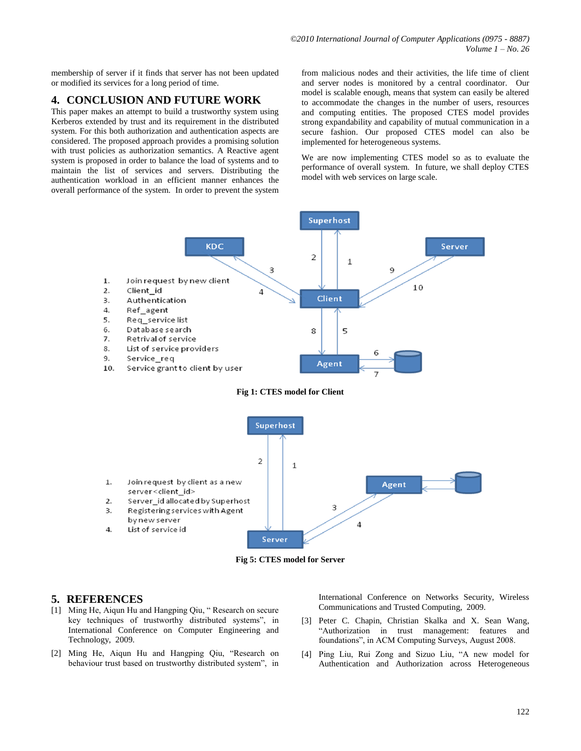membership of server if it finds that server has not been updated or modified its services for a long period of time.

## **4. CONCLUSION AND FUTURE WORK**

This paper makes an attempt to build a trustworthy system using Kerberos extended by trust and its requirement in the distributed system. For this both authorization and authentication aspects are considered. The proposed approach provides a promising solution with trust policies as authorization semantics. A Reactive agent system is proposed in order to balance the load of systems and to maintain the list of services and servers. Distributing the authentication workload in an efficient manner enhances the overall performance of the system. In order to prevent the system

from malicious nodes and their activities, the life time of client and server nodes is monitored by a central coordinator. Our model is scalable enough, means that system can easily be altered to accommodate the changes in the number of users, resources and computing entities. The proposed CTES model provides strong expandability and capability of mutual communication in a secure fashion. Our proposed CTES model can also be implemented for heterogeneous systems.

We are now implementing CTES model so as to evaluate the performance of overall system. In future, we shall deploy CTES model with web services on large scale.



- Join request by client as a new  $\mathbf{1}$ . server<client\_id>
- $2.$ Server id allocated by Superhost
- Registering services with Agent  $\overline{3}$ . by new server
- List of service id 4.



**Server** 

3

 $\overline{4}$ 

#### **5. REFERENCES**

- [1] Ming He, Aiqun Hu and Hangping Qiu, " Research on secure key techniques of trustworthy distributed systems", in International Conference on Computer Engineering and Technology, 2009.
- [2] Ming He, Aiqun Hu and Hangping Qiu, "Research on behaviour trust based on trustworthy distributed system", in

International Conference on Networks Security, Wireless Communications and Trusted Computing, 2009.

[3] Peter C. Chapin, Christian Skalka and X. Sean Wang, "Authorization in trust management: features and foundations", in ACM Computing Surveys, August 2008.

Agent

[4] Ping Liu, Rui Zong and Sizuo Liu, "A new model for Authentication and Authorization across Heterogeneous